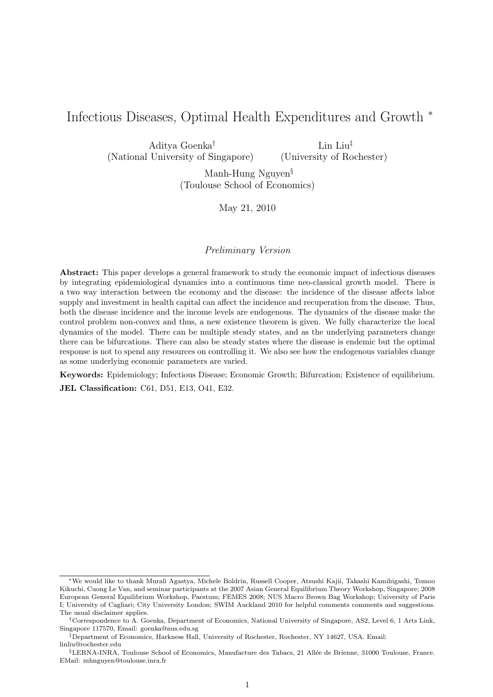# Infectious Diseases, Optimal Health Expenditures and Growth <sup>∗</sup>

Aditya Goenka† (National University of Singapore) Lin Liu‡ (University of Rochester)

> Manh-Hung Nguyen§ (Toulouse School of Economics)

> > May 21, 2010

#### Preliminary Version

Abstract: This paper develops a general framework to study the economic impact of infectious diseases by integrating epidemiological dynamics into a continuous time neo-classical growth model. There is a two way interaction between the economy and the disease: the incidence of the disease affects labor supply and investment in health capital can affect the incidence and recuperation from the disease. Thus, both the disease incidence and the income levels are endogenous. The dynamics of the disease make the control problem non-convex and thus, a new existence theorem is given. We fully characterize the local dynamics of the model. There can be multiple steady states, and as the underlying parameters change there can be bifurcations. There can also be steady states where the disease is endemic but the optimal response is not to spend any resources on controlling it. We also see how the endogenous variables change as some underlying economic parameters are varied.

Keywords: Epidemiology; Infectious Disease; Economic Growth; Bifurcation; Existence of equilibrium. JEL Classification: C61, D51, E13, O41, E32.

<sup>∗</sup>We would like to thank Murali Agastya, Michele Boldrin, Russell Cooper, Atsushi Kajii, Takashi Kamihigashi, Tomoo Kikuchi, Cuong Le Van, and seminar participants at the 2007 Asian General Equilibrium Theory Workshop, Singapore; 2008 European General Equilibrium Workshop, Paestum; FEMES 2008; NUS Macro Brown Bag Workshop; University of Paris I; University of Cagliari; City University London; SWIM Auckland 2010 for helpful comments comments and suggestions. The usual disclaimer applies.

<sup>†</sup>Correspondence to A. Goenka, Department of Economics, National University of Singapore, AS2, Level 6, 1 Arts Link, Singapore 117570, Email: goenka@nus.edu.sg

<sup>‡</sup>Department of Economics, Harkness Hall, University of Rochester, Rochester, NY 14627, USA. Email: linliu@rochester.edu

<sup>§</sup>LERNA-INRA, Toulouse School of Economics, Manufacture des Tabacs, 21 Allée de Brienne, 31000 Toulouse, France. EMail: mhnguyen@toulouse.inra.fr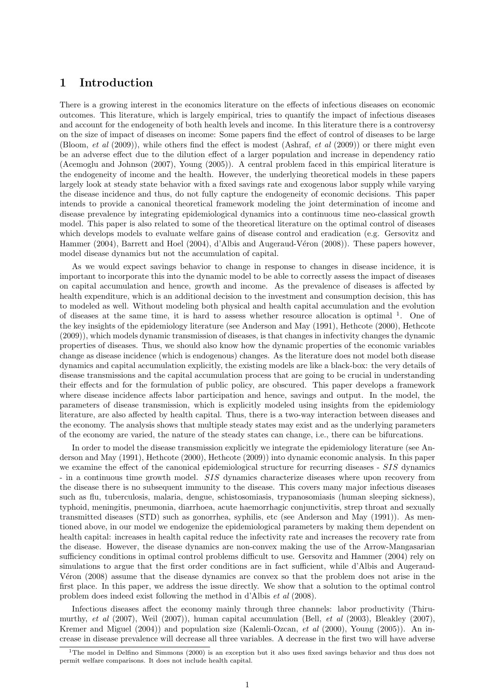## 1 Introduction

There is a growing interest in the economics literature on the effects of infectious diseases on economic outcomes. This literature, which is largely empirical, tries to quantify the impact of infectious diseases and account for the endogeneity of both health levels and income. In this literature there is a controversy on the size of impact of diseases on income: Some papers find the effect of control of diseases to be large (Bloom, et al (2009)), while others find the effect is modest (Ashraf, et al (2009)) or there might even be an adverse effect due to the dilution effect of a larger population and increase in dependency ratio (Acemoglu and Johnson (2007), Young (2005)). A central problem faced in this empirical literature is the endogeneity of income and the health. However, the underlying theoretical models in these papers largely look at steady state behavior with a fixed savings rate and exogenous labor supply while varying the disease incidence and thus, do not fully capture the endogeneity of economic decisions. This paper intends to provide a canonical theoretical framework modeling the joint determination of income and disease prevalence by integrating epidemiological dynamics into a continuous time neo-classical growth model. This paper is also related to some of the theoretical literature on the optimal control of diseases which develops models to evaluate welfare gains of disease control and eradication (e.g. Gersovitz and Hammer (2004), Barrett and Hoel (2004), d'Albis and Augeraud-Véron (2008)). These papers however, model disease dynamics but not the accumulation of capital.

As we would expect savings behavior to change in response to changes in disease incidence, it is important to incorporate this into the dynamic model to be able to correctly assess the impact of diseases on capital accumulation and hence, growth and income. As the prevalence of diseases is affected by health expenditure, which is an additional decision to the investment and consumption decision, this has to modeled as well. Without modeling both physical and health capital accumulation and the evolution of diseases at the same time, it is hard to assess whether resource allocation is optimal <sup>1</sup>. One of the key insights of the epidemiology literature (see Anderson and May (1991), Hethcote (2000), Hethcote (2009)), which models dynamic transmission of diseases, is that changes in infectivity changes the dynamic properties of diseases. Thus, we should also know how the dynamic properties of the economic variables change as disease incidence (which is endogenous) changes. As the literature does not model both disease dynamics and capital accumulation explicitly, the existing models are like a black-box: the very details of disease transmissions and the capital accumulation process that are going to be crucial in understanding their effects and for the formulation of public policy, are obscured. This paper develops a framework where disease incidence affects labor participation and hence, savings and output. In the model, the parameters of disease transmission, which is explicitly modeled using insights from the epidemiology literature, are also affected by health capital. Thus, there is a two-way interaction between diseases and the economy. The analysis shows that multiple steady states may exist and as the underlying parameters of the economy are varied, the nature of the steady states can change, i.e., there can be bifurcations.

In order to model the disease transmission explicitly we integrate the epidemiology literature (see Anderson and May (1991), Hethcote (2000), Hethcote (2009)) into dynamic economic analysis. In this paper we examine the effect of the canonical epidemiological structure for recurring diseases - SIS dynamics - in a continuous time growth model. SIS dynamics characterize diseases where upon recovery from the disease there is no subsequent immunity to the disease. This covers many major infectious diseases such as flu, tuberculosis, malaria, dengue, schistosomiasis, trypanosomiasis (human sleeping sickness), typhoid, meningitis, pneumonia, diarrhoea, acute haemorrhagic conjunctivitis, strep throat and sexually transmitted diseases (STD) such as gonorrhea, syphilis, etc (see Anderson and May (1991)). As mentioned above, in our model we endogenize the epidemiological parameters by making them dependent on health capital: increases in health capital reduce the infectivity rate and increases the recovery rate from the disease. However, the disease dynamics are non-convex making the use of the Arrow-Mangasarian sufficiency conditions in optimal control problems difficult to use. Gersovitz and Hammer (2004) rely on simulations to argue that the first order conditions are in fact sufficient, while d'Albis and Augeraud-Véron (2008) assume that the disease dynamics are convex so that the problem does not arise in the first place. In this paper, we address the issue directly. We show that a solution to the optimal control problem does indeed exist following the method in d'Albis et al (2008).

Infectious diseases affect the economy mainly through three channels: labor productivity (Thirumurthy, et al (2007), Weil (2007)), human capital accumulation (Bell, et al (2003), Bleakley (2007), Kremer and Miguel (2004)) and population size (Kalemli-Ozcan, *et al* (2000), Young (2005)). An increase in disease prevalence will decrease all three variables. A decrease in the first two will have adverse

<sup>&</sup>lt;sup>1</sup>The model in Delfino and Simmons (2000) is an exception but it also uses fixed savings behavior and thus does not permit welfare comparisons. It does not include health capital.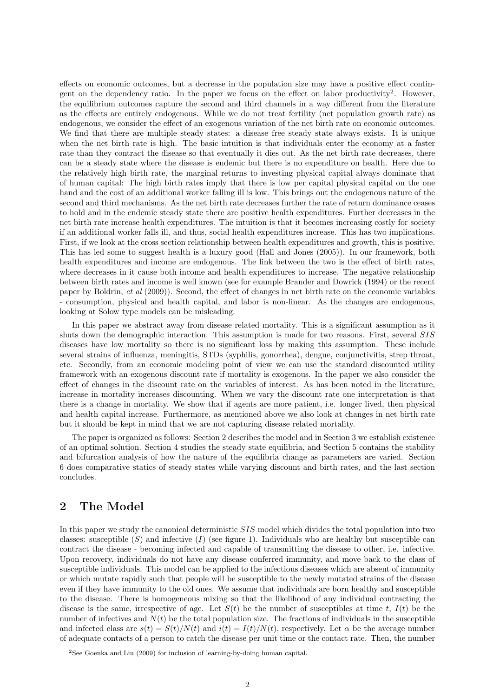effects on economic outcomes, but a decrease in the population size may have a positive effect contingent on the dependency ratio. In the paper we focus on the effect on labor productivity<sup>2</sup>. However, the equilibrium outcomes capture the second and third channels in a way different from the literature as the effects are entirely endogenous. While we do not treat fertility (net population growth rate) as endogenous, we consider the effect of an exogenous variation of the net birth rate on economic outcomes. We find that there are multiple steady states: a disease free steady state always exists. It is unique when the net birth rate is high. The basic intuition is that individuals enter the economy at a faster rate than they contract the disease so that eventually it dies out. As the net birth rate decreases, there can be a steady state where the disease is endemic but there is no expenditure on health. Here due to the relatively high birth rate, the marginal returns to investing physical capital always dominate that of human capital: The high birth rates imply that there is low per capital physical capital on the one hand and the cost of an additional worker falling ill is low. This brings out the endogenous nature of the second and third mechanisms. As the net birth rate decreases further the rate of return dominance ceases to hold and in the endemic steady state there are positive health expenditures. Further decreases in the net birth rate increase health expenditures. The intuition is that it becomes increasing costly for society if an additional worker falls ill, and thus, social health expenditures increase. This has two implications. First, if we look at the cross section relationship between health expenditures and growth, this is positive. This has led some to suggest health is a luxury good (Hall and Jones (2005)). In our framework, both health expenditures and income are endogenous. The link between the two is the effect of birth rates, where decreases in it cause both income and health expenditures to increase. The negative relationship between birth rates and income is well known (see for example Brander and Dowrick (1994) or the recent paper by Boldrin, et al (2009)). Second, the effect of changes in net birth rate on the economic variables - consumption, physical and health capital, and labor is non-linear. As the changes are endogenous, looking at Solow type models can be misleading.

In this paper we abstract away from disease related mortality. This is a significant assumption as it shuts down the demographic interaction. This assumption is made for two reasons. First, several SIS diseases have low mortality so there is no significant loss by making this assumption. These include several strains of influenza, meningitis, STDs (syphilis, gonorrhea), dengue, conjunctivitis, strep throat, etc. Secondly, from an economic modeling point of view we can use the standard discounted utility framework with an exogenous discount rate if mortality is exogenous. In the paper we also consider the effect of changes in the discount rate on the variables of interest. As has been noted in the literature, increase in mortality increases discounting. When we vary the discount rate one interpretation is that there is a change in mortality. We show that if agents are more patient, i.e. longer lived, then physical and health capital increase. Furthermore, as mentioned above we also look at changes in net birth rate but it should be kept in mind that we are not capturing disease related mortality.

The paper is organized as follows: Section 2 describes the model and in Section 3 we establish existence of an optimal solution. Section 4 studies the steady state equilibria, and Section 5 contains the stability and bifurcation analysis of how the nature of the equilibria change as parameters are varied. Section 6 does comparative statics of steady states while varying discount and birth rates, and the last section concludes.

## 2 The Model

In this paper we study the canonical deterministic SIS model which divides the total population into two classes: susceptible  $(S)$  and infective  $(I)$  (see figure 1). Individuals who are healthy but susceptible can contract the disease - becoming infected and capable of transmitting the disease to other, i.e. infective. Upon recovery, individuals do not have any disease conferred immunity, and move back to the class of susceptible individuals. This model can be applied to the infectious diseases which are absent of immunity or which mutate rapidly such that people will be susceptible to the newly mutated strains of the disease even if they have immunity to the old ones. We assume that individuals are born healthy and susceptible to the disease. There is homogeneous mixing so that the likelihood of any individual contracting the disease is the same, irrespective of age. Let  $S(t)$  be the number of susceptibles at time t,  $I(t)$  be the number of infectives and  $N(t)$  be the total population size. The fractions of individuals in the susceptible and infected class are  $s(t) = S(t)/N(t)$  and  $i(t) = I(t)/N(t)$ , respectively. Let  $\alpha$  be the average number of adequate contacts of a person to catch the disease per unit time or the contact rate. Then, the number

<sup>&</sup>lt;sup>2</sup>See Goenka and Liu (2009) for inclusion of learning-by-doing human capital.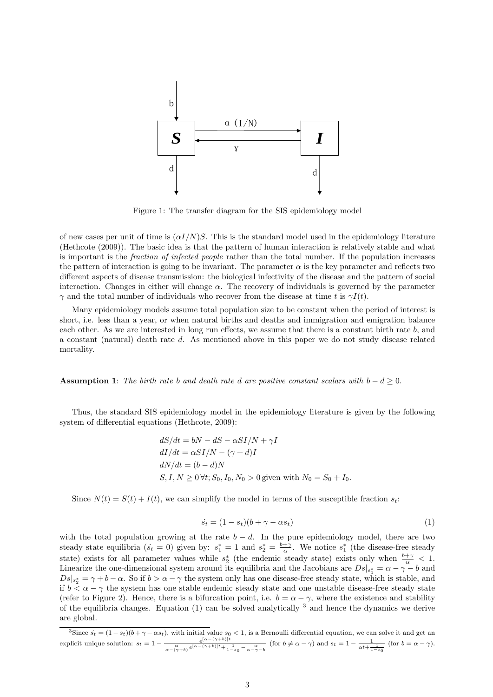

Figure 1: The transfer diagram for the SIS epidemiology model

of new cases per unit of time is  $(\alpha I/N)S$ . This is the standard model used in the epidemiology literature (Hethcote (2009)). The basic idea is that the pattern of human interaction is relatively stable and what is important is the fraction of infected people rather than the total number. If the population increases the pattern of interaction is going to be invariant. The parameter  $\alpha$  is the key parameter and reflects two different aspects of disease transmission: the biological infectivity of the disease and the pattern of social interaction. Changes in either will change  $\alpha$ . The recovery of individuals is governed by the parameter  $\gamma$  and the total number of individuals who recover from the disease at time t is  $\gamma I(t)$ .

Many epidemiology models assume total population size to be constant when the period of interest is short, i.e. less than a year, or when natural births and deaths and immigration and emigration balance each other. As we are interested in long run effects, we assume that there is a constant birth rate b, and a constant (natural) death rate d. As mentioned above in this paper we do not study disease related mortality.

**Assumption 1:** The birth rate b and death rate d are positive constant scalars with  $b - d \ge 0$ .

Thus, the standard SIS epidemiology model in the epidemiology literature is given by the following system of differential equations (Hethcote, 2009):

$$
dS/dt = bN - dS - \alpha SI/N + \gamma I
$$
  
\n
$$
dI/dt = \alpha SI/N - (\gamma + d)I
$$
  
\n
$$
dN/dt = (b - d)N
$$
  
\n
$$
S, I, N \ge 0 \forall t; S_0, I_0, N_0 > 0
$$
 given with  $N_0 = S_0 + I_0$ .

Since  $N(t) = S(t) + I(t)$ , we can simplify the model in terms of the susceptible fraction  $s_t$ :

$$
\dot{s}_t = (1 - s_t)(b + \gamma - \alpha s_t) \tag{1}
$$

with the total population growing at the rate  $b - d$ . In the pure epidemiology model, there are two steady state equilibria  $(s_t = 0)$  given by:  $s_1^* = 1$  and  $s_2^* = \frac{b + \gamma}{\alpha}$ . We notice  $s_1^*$  (the disease-free steady state) exists for all parameter values while  $s_2^*$  (the endemic steady state) exists only when  $\frac{b+\gamma}{\alpha} < 1$ . Linearize the one-dimensional system around its equilibria and the Jacobians are  $Ds|_{s_1^*} = \alpha - \gamma - b$  and  $Ds_s^* = \gamma + b - \alpha$ . So if  $b > \alpha - \gamma$  the system only has one disease-free steady state, which is stable, and if  $b < \alpha - \gamma$  the system has one stable endemic steady state and one unstable disease-free steady state (refer to Figure 2). Hence, there is a bifurcation point, i.e.  $b = \alpha - \gamma$ , where the existence and stability of the equilibria changes. Equation (1) can be solved analytically  $3$  and hence the dynamics we derive are global.

<sup>&</sup>lt;sup>3</sup>Since  $s_t = (1 - s_t)(b + \gamma - \alpha s_t)$ , with initial value  $s_0 < 1$ , is a Bernoulli differential equation, we can solve it and get an explicit unique solution:  $s_t = 1 - \frac{e^{[\alpha - (\gamma + b)]t}}{\alpha - (\gamma + b)e^{[\alpha - (\gamma + b)]t} + \frac{1}{1 - s_0} - \frac{\alpha}{\alpha - \gamma - b}}$  (for  $b \neq \alpha - \gamma$ ) and  $s_t = 1 - \frac{1}{\alpha t + \frac{1}{1 - s_0}}$  (for  $b = \alpha - \gamma$ ).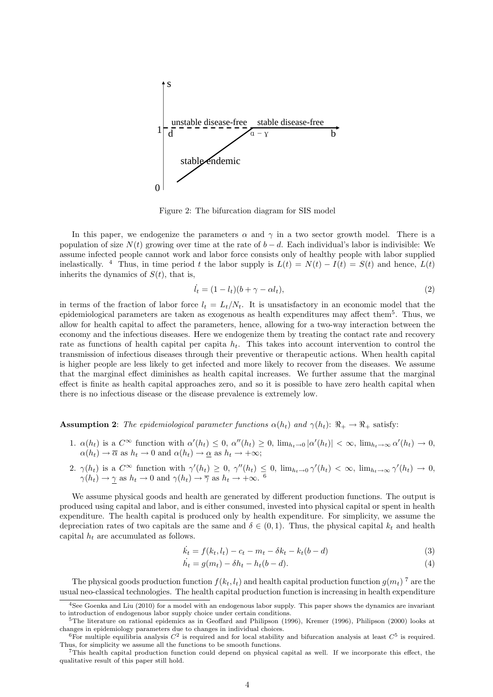

Figure 2: The bifurcation diagram for SIS model

In this paper, we endogenize the parameters  $\alpha$  and  $\gamma$  in a two sector growth model. There is a population of size  $N(t)$  growing over time at the rate of  $b - d$ . Each individual's labor is indivisible: We assume infected people cannot work and labor force consists only of healthy people with labor supplied inelastically. <sup>4</sup> Thus, in time period t the labor supply is  $L(t) = N(t) - I(t) = S(t)$  and hence,  $L(t)$ inherits the dynamics of  $S(t)$ , that is,

$$
\dot{l}_t = (1 - l_t)(b + \gamma - \alpha l_t),\tag{2}
$$

in terms of the fraction of labor force  $l_t = L_t/N_t$ . It is unsatisfactory in an economic model that the epidemiological parameters are taken as exogenous as health expenditures may affect them<sup>5</sup>. Thus, we allow for health capital to affect the parameters, hence, allowing for a two-way interaction between the economy and the infectious diseases. Here we endogenize them by treating the contact rate and recovery rate as functions of health capital per capita  $h_t$ . This takes into account intervention to control the transmission of infectious diseases through their preventive or therapeutic actions. When health capital is higher people are less likely to get infected and more likely to recover from the diseases. We assume that the marginal effect diminishes as health capital increases. We further assume that the marginal effect is finite as health capital approaches zero, and so it is possible to have zero health capital when there is no infectious disease or the disease prevalence is extremely low.

**Assumption 2:** The epidemiological parameter functions  $\alpha(h_t)$  and  $\gamma(h_t)$ :  $\Re_+ \to \Re_+$  satisfy:

- 1.  $\alpha(h_t)$  is a  $C^{\infty}$  function with  $\alpha'(h_t) \leq 0$ ,  $\alpha''(h_t) \geq 0$ ,  $\lim_{h_t \to 0} |\alpha'(h_t)| < \infty$ ,  $\lim_{h_t \to \infty} \alpha'(h_t) \to 0$ ,  $\alpha(h_t) \to \overline{\alpha}$  as  $h_t \to 0$  and  $\alpha(h_t) \to \underline{\alpha}$  as  $h_t \to +\infty$ ;
- 2.  $\gamma(h_t)$  is a  $C^{\infty}$  function with  $\gamma'(h_t) \geq 0$ ,  $\gamma''(h_t) \leq 0$ ,  $\lim_{h_t \to 0} \gamma'(h_t) < \infty$ ,  $\lim_{h_t \to \infty} \gamma'(h_t) \to 0$ ,  $\gamma(h_t) \to \gamma$  as  $h_t \to 0$  and  $\gamma(h_t) \to \overline{\gamma}$  as  $h_t \to +\infty$ . <sup>6</sup>

We assume physical goods and health are generated by different production functions. The output is produced using capital and labor, and is either consumed, invested into physical capital or spent in health expenditure. The health capital is produced only by health expenditure. For simplicity, we assume the depreciation rates of two capitals are the same and  $\delta \in (0,1)$ . Thus, the physical capital  $k_t$  and health capital  $h_t$  are accumulated as follows.

$$
\dot{k}_t = f(k_t, l_t) - c_t - m_t - \delta k_t - k_t(b - d) \tag{3}
$$

$$
\dot{h}_t = g(m_t) - \delta h_t - h_t(b - d). \tag{4}
$$

The physical goods production function  $f(k_t, l_t)$  and health capital production function  $g(m_t)$ <sup>7</sup> are the usual neo-classical technologies. The health capital production function is increasing in health expenditure

<sup>&</sup>lt;sup>4</sup>See Goenka and Liu (2010) for a model with an endogenous labor supply. This paper shows the dynamics are invariant to introduction of endogenous labor supply choice under certain conditions.

<sup>5</sup>The literature on rational epidemics as in Geoffard and Philipson (1996), Kremer (1996), Philipson (2000) looks at changes in epidemiology parameters due to changes in individual choices.

<sup>&</sup>lt;sup>6</sup>For multiple equilibria analysis  $C^2$  is required and for local stability and bifurcation analysis at least  $C^5$  is required. Thus, for simplicity we assume all the functions to be smooth functions.

<sup>7</sup>This health capital production function could depend on physical capital as well. If we incorporate this effect, the qualitative result of this paper still hold.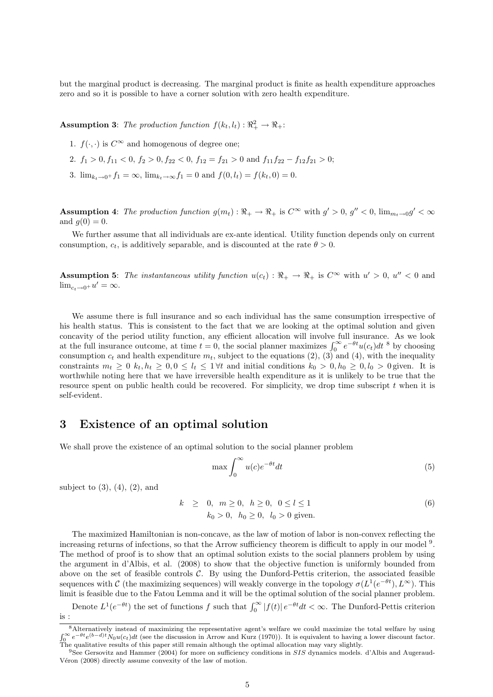but the marginal product is decreasing. The marginal product is finite as health expenditure approaches zero and so it is possible to have a corner solution with zero health expenditure.

**Assumption 3:** The production function  $f(k_t, l_t) : \Re_+^2 \to \Re_+$ :

- 1.  $f(\cdot, \cdot)$  is  $C^{\infty}$  and homogenous of degree one;
- 2.  $f_1 > 0, f_{11} < 0, f_2 > 0, f_{22} < 0, f_{12} = f_{21} > 0$  and  $f_{11}f_{22} f_{12}f_{21} > 0$ ;
- 3.  $\lim_{k_t \to 0^+} f_1 = \infty$ ,  $\lim_{k_t \to \infty} f_1 = 0$  and  $f(0, l_t) = f(k_t, 0) = 0$ .

**Assumption 4:** The production function  $g(m_t): \mathbb{R}_+ \to \mathbb{R}_+$  is  $C^{\infty}$  with  $g' > 0$ ,  $g'' < 0$ ,  $\lim_{m_t \to 0} g' < \infty$ and  $g(0) = 0$ .

We further assume that all individuals are ex-ante identical. Utility function depends only on current consumption,  $c_t$ , is additively separable, and is discounted at the rate  $\theta > 0$ .

**Assumption 5:** The instantaneous utility function  $u(c_t): \mathbb{R}_+ \to \mathbb{R}_+$  is  $C^{\infty}$  with  $u' > 0$ ,  $u'' < 0$  and  $\lim_{c_t \to 0^+} u' = \infty.$ 

We assume there is full insurance and so each individual has the same consumption irrespective of his health status. This is consistent to the fact that we are looking at the optimal solution and given concavity of the period utility function, any efficient allocation will involve full insurance. As we look at the full insurance outcome, at time  $t = 0$ , the social planner maximizes  $\int_0^\infty e^{-\theta t} u(c_t) dt$ <sup>8</sup> by choosing consumption  $c_t$  and health expenditure  $m_t$ , subject to the equations (2), (3) and (4), with the inequality constraints  $m_t \geq 0$   $k_t, h_t \geq 0, 0 \leq l_t \leq 1 \forall t$  and initial conditions  $k_0 > 0, h_0 \geq 0, l_0 > 0$  given. It is worthwhile noting here that we have irreversible health expenditure as it is unlikely to be true that the resource spent on public health could be recovered. For simplicity, we drop time subscript  $t$  when it is self-evident.

### 3 Existence of an optimal solution

We shall prove the existence of an optimal solution to the social planner problem

$$
\max \int_0^\infty u(c)e^{-\theta t}dt\tag{5}
$$

subject to  $(3)$ ,  $(4)$ ,  $(2)$ , and

$$
k \geq 0, \quad m \geq 0, \quad h \geq 0, \quad 0 \leq l \leq 1
$$
  
\n
$$
k_0 > 0, \quad h_0 \geq 0, \quad l_0 > 0 \text{ given.}
$$
  
\n(6)

The maximized Hamiltonian is non-concave, as the law of motion of labor is non-convex reflecting the increasing returns of infections, so that the Arrow sufficiency theorem is difficult to apply in our model <sup>9</sup>. The method of proof is to show that an optimal solution exists to the social planners problem by using the argument in d'Albis, et al. (2008) to show that the objective function is uniformly bounded from above on the set of feasible controls  $C$ . By using the Dunford-Pettis criterion, the associated feasible sequences with C (the maximizing sequences) will weakly converge in the topology  $\sigma(L^1(e^{-\theta t}), L^{\infty})$ . This limit is feasible due to the Fatou Lemma and it will be the optimal solution of the social planner problem.

Denote  $L^1(e^{-\theta t})$  the set of functions f such that  $\int_0^\infty |f(t)| e^{-\theta t} dt < \infty$ . The Dunford-Pettis criterion is :

<sup>&</sup>lt;sup>8</sup>Alternatively instead of maximizing the representative agent's welfare we could maximize the total welfare by using  $\int_0^\infty e^{-\theta t} e^{(b-d)t} N_0 u(c_t) dt$  (see the discussion in Arrow and Kurz (1970)). It is equivalent to having a lower discount factor. The qualitative results of this paper still remain although the optimal allocation may vary slightly.

 $9$ See Gersovitz and Hammer (2004) for more on sufficiency conditions in SIS dynamics models. d'Albis and Augeraud-Véron (2008) directly assume convexity of the law of motion.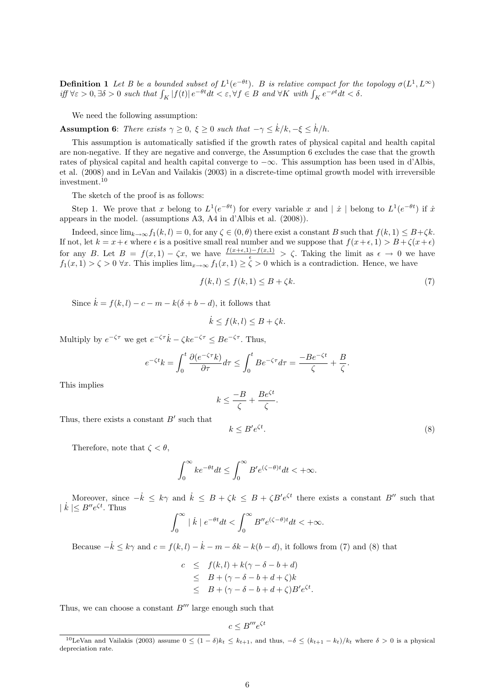**Definition 1** Let B be a bounded subset of  $L^1(e^{-\theta t})$ . B is relative compact for the topology  $\sigma(L^1, L^{\infty})$ iff  $\forall \varepsilon > 0, \exists \delta > 0$  such that  $\int_K |f(t)| e^{-\theta t} dt < \varepsilon, \forall f \in B$  and  $\forall K$  with  $\int_K e^{-\rho t} dt < \delta$ .

We need the following assumption:

**Assumption 6:** There exists  $\gamma \geq 0$ ,  $\xi \geq 0$  such that  $-\gamma \leq \dot{k}/k, -\xi \leq \dot{h}/h$ .

This assumption is automatically satisfied if the growth rates of physical capital and health capital are non-negative. If they are negative and converge, the Assumption 6 excludes the case that the growth rates of physical capital and health capital converge to −∞. This assumption has been used in d'Albis, et al. (2008) and in LeVan and Vailakis (2003) in a discrete-time optimal growth model with irreversible investment.<sup>10</sup>

The sketch of the proof is as follows:

Step 1. We prove that x belong to  $L^1(e^{-\theta t})$  for every variable x and  $|\dot{x}|$  belong to  $L^1(e^{-\theta t})$  if  $\dot{x}$ appears in the model. (assumptions A3, A4 in d'Albis et al. (2008)).

Indeed, since  $\lim_{k\to\infty} f_1(k,l) = 0$ , for any  $\zeta \in (0,\theta)$  there exist a constant B such that  $f(k,1) \leq B+\zeta k$ . If not, let  $k = x + \epsilon$  where  $\epsilon$  is a positive small real number and we suppose that  $f(x+\epsilon, 1) > B + \zeta(x+\epsilon)$ for any B. Let  $B = f(x,1) - \zeta x$ , we have  $\frac{f(x+\epsilon,1)-f(x,1)}{\epsilon} > \zeta$ . Taking the limit as  $\epsilon \to 0$  we have  $f_1(x, 1) > \zeta > 0$   $\forall x$ . This implies  $\lim_{x\to\infty} f_1(x, 1) \ge \zeta > 0$  which is a contradiction. Hence, we have

$$
f(k, l) \le f(k, 1) \le B + \zeta k. \tag{7}
$$

Since  $\dot{k} = f(k, l) - c - m - k(\delta + b - d)$ , it follows that

$$
\dot{k} \le f(k, l) \le B + \zeta k.
$$

Multiply by  $e^{-\zeta\tau}$  we get  $e^{-\zeta\tau}\dot{k} - \zeta k e^{-\zeta\tau} \leq Be^{-\zeta\tau}$ . Thus,

$$
e^{-\zeta t}k = \int_0^t \frac{\partial(e^{-\zeta \tau}k)}{\partial \tau} d\tau \le \int_0^t B e^{-\zeta \tau} d\tau = \frac{-B e^{-\zeta t}}{\zeta} + \frac{B}{\zeta}.
$$

This implies

$$
k \le \frac{-B}{\zeta} + \frac{Be^{\zeta t}}{\zeta}.
$$

Thus, there exists a constant  $B'$  such that

$$
k \le B' e^{\zeta t}.\tag{8}
$$

Therefore, note that  $\zeta < \theta$ ,

$$
\int_0^\infty ke^{-\theta t}dt \le \int_0^\infty B' e^{(\zeta - \theta)t} dt < +\infty.
$$

Moreover, since  $-k \leq k\gamma$  and  $\dot{k} \leq B + \zeta k \leq B + \zeta B' e^{\zeta t}$  there exists a constant  $B''$  such that  $|k| \leq B''e^{\zeta t}$ . Thus

$$
\int_0^\infty |k| e^{-\theta t} dt < \int_0^\infty B'' e^{(\zeta - \theta)t} dt < +\infty.
$$

Because  $-\dot{k} \le k\gamma$  and  $c = f(k, l) - \dot{k} - m - \delta k - k(b - d)$ , it follows from (7) and (8) that

$$
c \leq f(k, l) + k(\gamma - \delta - b + d)
$$
  
\n
$$
\leq B + (\gamma - \delta - b + d + \zeta)k
$$
  
\n
$$
\leq B + (\gamma - \delta - b + d + \zeta)B'e^{\zeta t}.
$$

Thus, we can choose a constant  $B^{\prime\prime\prime}$  large enough such that

$$
c \le B'''e^{\zeta t}
$$

<sup>&</sup>lt;sup>10</sup>LeVan and Vailakis (2003) assume  $0 \leq (1 - \delta)k_t \leq k_{t+1}$ , and thus,  $-\delta \leq (k_{t+1} - k_t)/k_t$  where  $\delta > 0$  is a physical depreciation rate.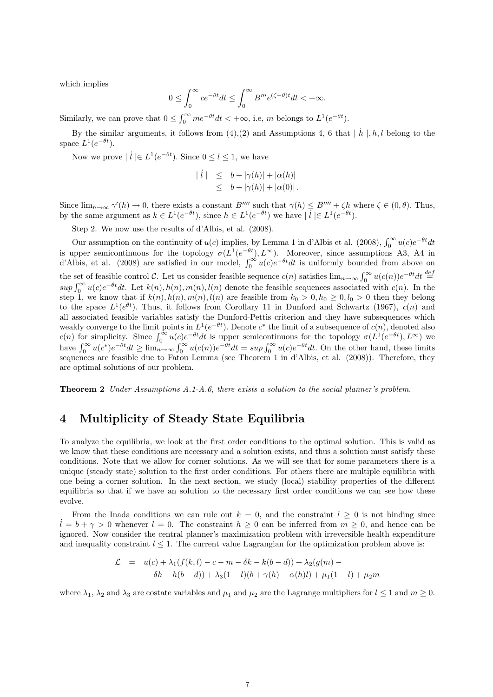which implies

$$
0\leq \int_0^\infty ce^{-\theta t}dt\leq \int_0^\infty B'''e^{(\zeta-\theta)t}dt<+\infty.
$$

Similarly, we can prove that  $0 \leq \int_0^\infty me^{-\theta t} dt < +\infty$ , i.e, m belongs to  $L^1(e^{-\theta t})$ .

By the similar arguments, it follows from  $(4)$ ,  $(2)$  and Assumptions 4, 6 that  $|\dot{h}|$ ,  $h$ ,  $l$  belong to the space  $L^1(e^{-\theta t})$ .

Now we prove  $\mid \dot{l} \mid \in L^1(e^{-\theta t})$ . Since  $0 \leq l \leq 1$ , we have

$$
\begin{array}{rcl} \mid i \mid & \leq & b + |\gamma(h)| + |\alpha(h)| \\ & \leq & b + |\gamma(h)| + |\alpha(0)| \, . \end{array}
$$

Since  $\lim_{h\to\infty} \gamma'(h) \to 0$ , there exists a constant B'''' such that  $\gamma(h) \leq B'''' + \zeta h$  where  $\zeta \in (0, \theta)$ . Thus, by the same argument as  $k \in L^1(e^{-\theta t})$ , since  $h \in L^1(e^{-\theta t})$  we have  $|\overline{l}| \in L^1(e^{-\theta t})$ .

Step 2. We now use the results of d'Albis, et al. (2008).

Our assumption on the continuity of  $u(c)$  implies, by Lemma 1 in d'Albis et al. (2008),  $\int_0^\infty u(c)e^{-\theta t}dt$ is upper semicontinuous for the topology  $\sigma(L^1(e^{-\theta t}), L^{\infty})$ . Moreover, since assumptions A3, A4 in d'Albis, et al. (2008) are satisfied in our model,  $\int_0^\infty u(c)e^{-\theta t}dt$  is uniformly bounded from above on the set of feasible control C. Let us consider feasible sequence  $c(n)$  satisfies  $\lim_{n\to\infty} \int_0^\infty u(c(n))e^{-\theta t}dt \stackrel{def}{=}$  $sup \int_0^\infty u(c)e^{-\theta t}dt$ . Let  $k(n)$ ,  $h(n)$ ,  $m(n)$ ,  $l(n)$  denote the feasible sequences associated with  $c(n)$ . In the step 1, we know that if  $k(n)$ ,  $h(n)$ ,  $m(n)$ ,  $l(n)$  are feasible from  $k_0 > 0$ ,  $h_0 \geq 0$ ,  $l_0 > 0$  then they belong to the space  $L^1(e^{\theta t})$ . Thus, it follows from Corollary 11 in Dunford and Schwartz (1967),  $c(n)$  and all associated feasible variables satisfy the Dunford-Pettis criterion and they have subsequences which weakly converge to the limit points in  $L^1(e^{-\theta t})$ . Denote  $c^*$  the limit of a subsequence of  $c(n)$ , denoted also c(n) for simplicity. Since  $\int_0^\infty u(c)e^{-\theta t}dt$  is upper semicontinuous for the topology  $\sigma(L^1(e^{-\theta t}), L^\infty)$  we have  $\int_0^\infty u(c^*)e^{-\theta t}dt \ge \lim_{n \to \infty} \int_0^\infty u(c(n))e^{-\theta t}dt = \sup \int_0^\infty u(c)e^{-\theta t}dt$ . On the other hand, these limits sequences are feasible due to Fatou Lemma (see Theorem 1 in d'Albis, et al. (2008)). Therefore, they are optimal solutions of our problem.

Theorem 2 Under Assumptions A.1-A.6, there exists a solution to the social planner's problem.

## 4 Multiplicity of Steady State Equilibria

To analyze the equilibria, we look at the first order conditions to the optimal solution. This is valid as we know that these conditions are necessary and a solution exists, and thus a solution must satisfy these conditions. Note that we allow for corner solutions. As we will see that for some parameters there is a unique (steady state) solution to the first order conditions. For others there are multiple equilibria with one being a corner solution. In the next section, we study (local) stability properties of the different equilibria so that if we have an solution to the necessary first order conditions we can see how these evolve.

From the Inada conditions we can rule out  $k = 0$ , and the constraint  $l \geq 0$  is not binding since  $\ell = b + \gamma > 0$  whenever  $\ell = 0$ . The constraint  $h \ge 0$  can be inferred from  $m \ge 0$ , and hence can be ignored. Now consider the central planner's maximization problem with irreversible health expenditure and inequality constraint  $l \leq 1$ . The current value Lagrangian for the optimization problem above is:

$$
\mathcal{L} = u(c) + \lambda_1(f(k, l) - c - m - \delta k - k(b - d)) + \lambda_2(g(m) -
$$
  

$$
-\delta h - h(b - d)) + \lambda_3(1 - l)(b + \gamma(h) - \alpha(h)l) + \mu_1(1 - l) + \mu_2m
$$

where  $\lambda_1$ ,  $\lambda_2$  and  $\lambda_3$  are costate variables and  $\mu_1$  and  $\mu_2$  are the Lagrange multipliers for  $l \leq 1$  and  $m \geq 0$ .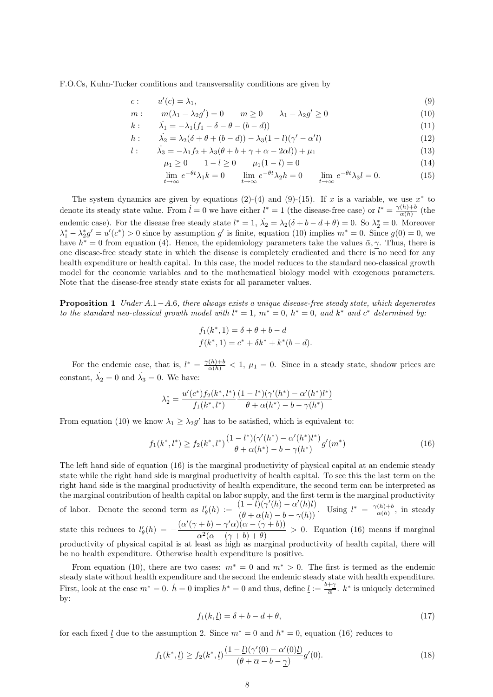F.O.Cs, Kuhn-Tucker conditions and transversality conditions are given by

$$
c: \qquad u'(c) = \lambda_1,\tag{9}
$$

$$
m: \t m(\lambda_1 - \lambda_2 g') = 0 \t m \ge 0 \t \lambda_1 - \lambda_2 g' \ge 0
$$
  
\n
$$
k: \t \lambda_1 = -\lambda_1 (f_1 - \delta - \theta - (b - d))
$$
\n(10)

h: 
$$
\lambda_2 = \lambda_2(\delta + \theta + (b - d)) - \lambda_3(1 - l)(\gamma' - \alpha' l)
$$
 (12)

$$
l: \qquad \lambda_3 = -\lambda_1 f_2 + \lambda_3 (\theta + b + \gamma + \alpha - 2\alpha l)) + \mu_1 \tag{13}
$$

$$
\mu_1 \ge 0 \qquad 1 - l \ge 0 \qquad \mu_1(1 - l) = 0 \tag{14}
$$

$$
\lim_{t \to \infty} e^{-\theta t} \lambda_1 k = 0 \qquad \lim_{t \to \infty} e^{-\theta t} \lambda_2 h = 0 \qquad \lim_{t \to \infty} e^{-\theta t} \lambda_3 l = 0. \tag{15}
$$

The system dynamics are given by equations  $(2)-(4)$  and  $(9)-(15)$ . If x is a variable, we use  $x^*$  to denote its steady state value. From  $\dot{l} = 0$  we have either  $l^* = 1$  (the disease-free case) or  $l^* = \frac{\gamma(h) + b}{\gamma(h)}$  $\frac{\alpha(h)+b}{\alpha(h)}$  (the endemic case). For the disease free steady state  $l^* = 1$ ,  $\dot{\lambda}_2 = \lambda_2(\delta + b - d + \theta) = 0$ . So  $\lambda_2^* = 0$ . Moreover  $\lambda_1^* - \lambda_2^* g' = u'(c^*) > 0$  since by assumption g' is finite, equation (10) implies  $m^* = 0$ . Since  $g(0) = 0$ , we have  $h^* = 0$  from equation (4). Hence, the epidemiology parameters take the values  $\bar{\alpha}, \gamma$ . Thus, there is one disease-free steady state in which the disease is completely eradicated and there is no need for any health expenditure or health capital. In this case, the model reduces to the standard neo-classical growth model for the economic variables and to the mathematical biology model with exogenous parameters. Note that the disease-free steady state exists for all parameter values.

**Proposition 1** Under  $A.1-A.6$ , there always exists a unique disease-free steady state, which degenerates to the standard neo-classical growth model with  $l^* = 1$ ,  $m^* = 0$ ,  $h^* = 0$ , and  $k^*$  and  $c^*$  determined by:

$$
f_1(k^*, 1) = \delta + \theta + b - d
$$
  

$$
f(k^*, 1) = c^* + \delta k^* + k^*(b - d).
$$

For the endemic case, that is,  $l^* = \frac{\gamma(h)+b}{\alpha(h)} < 1$ ,  $\mu_1 = 0$ . Since in a steady state, shadow prices are constant,  $\lambda_2 = 0$  and  $\lambda_3 = 0$ . We have:

$$
\lambda_2^* = \frac{u'(c^*) f_2(k^*, l^*)}{f_1(k^*, l^*)} \frac{(1 - l^*) (\gamma'(h^*) - \alpha'(h^*) l^*)}{\theta + \alpha(h^*) - b - \gamma(h^*)}
$$

From equation (10) we know  $\lambda_1 \geq \lambda_2 g'$  has to be satisfied, which is equivalent to:

$$
f_1(k^*,l^*) \ge f_2(k^*,l^*) \frac{(1-l^*)(\gamma'(h^*) - \alpha'(h^*)l^*)}{\theta + \alpha(h^*) - b - \gamma(h^*)} g'(m^*)
$$
(16)

The left hand side of equation (16) is the marginal productivity of physical capital at an endemic steady state while the right hand side is marginal productivity of health capital. To see this the last term on the right hand side is the marginal productivity of health expenditure, the second term can be interpreted as the marginal contribution of health capital on labor supply, and the first term is the marginal productivity of labor. Denote the second term as  $l'_{\theta}(h) := \frac{(1 - \hat{l})(\gamma'(h) - \alpha'(h)l)}{(\theta + \alpha(h) - b - \gamma(h))}$ . Using  $l^* = \frac{\gamma(h) + b}{\alpha(h)}$  $\frac{\Gamma(n)+b}{\alpha(h)}$ , in steady state this reduces to  $l'_{\theta}(h) = -\frac{(\alpha'(\gamma+b)-\gamma'\alpha)(\alpha-(\gamma+b))}{\alpha^2(\alpha-(\alpha+b)+\theta)}$  $\frac{\alpha^2(\alpha - (\gamma + b) + \theta)}{\alpha^2(\alpha - (\gamma + b) + \theta)} > 0$ . Equation (16) means if marginal productivity of physical capital is at least as high as marginal productivity of health capital, there will be no health expenditure. Otherwise health expenditure is positive.

From equation (10), there are two cases:  $m^* = 0$  and  $m^* > 0$ . The first is termed as the endemic steady state without health expenditure and the second the endemic steady state with health expenditure. First, look at the case  $m^* = 0$ .  $\dot{h} = 0$  implies  $h^* = 0$  and thus, define  $\underline{l} := \frac{b + \gamma}{\overline{\alpha}}$  $rac{+\gamma}{\overline{\alpha}}$ .  $k^*$  is uniquely determined by:

$$
f_1(k, \underline{l}) = \delta + b - d + \theta,\tag{17}
$$

for each fixed <u>l</u> due to the assumption 2. Since  $m^* = 0$  and  $h^* = 0$ , equation (16) reduces to

$$
f_1(k^*, \underline{l}) \ge f_2(k^*, \underline{l}) \frac{(1 - \underline{l})(\gamma'(0) - \alpha'(0)\underline{l})}{(\theta + \overline{\alpha} - b - \gamma)} g'(0). \tag{18}
$$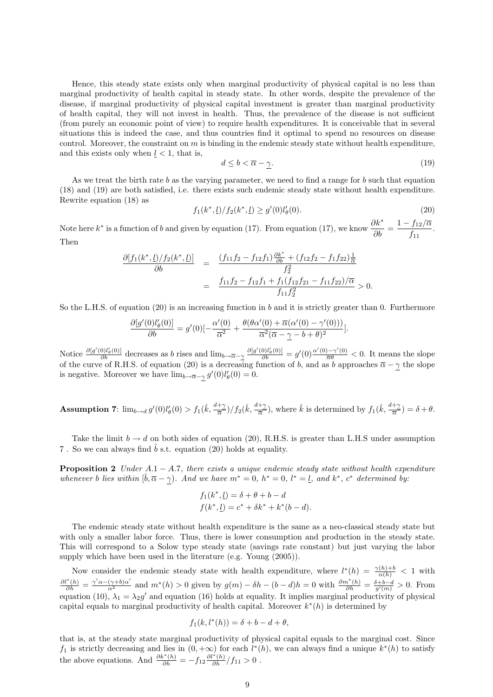Hence, this steady state exists only when marginal productivity of physical capital is no less than marginal productivity of health capital in steady state. In other words, despite the prevalence of the disease, if marginal productivity of physical capital investment is greater than marginal productivity of health capital, they will not invest in health. Thus, the prevalence of the disease is not sufficient (from purely an economic point of view) to require health expenditures. It is conceivable that in several situations this is indeed the case, and thus countries find it optimal to spend no resources on disease control. Moreover, the constraint on  $m$  is binding in the endemic steady state without health expenditure, and this exists only when  $l < 1$ , that is,

$$
d \le b < \overline{\alpha} - \gamma. \tag{19}
$$

As we treat the birth rate b as the varying parameter, we need to find a range for b such that equation (18) and (19) are both satisfied, i.e. there exists such endemic steady state without health expenditure. Rewrite equation (18) as

$$
f_1(k^*, \underline{l})/f_2(k^*, \underline{l}) \ge g'(0)l'_{\theta}(0). \tag{20}
$$

Note here  $k^*$  is a function of b and given by equation (17). From equation (17), we know  $\frac{\partial k^*}{\partial b} = \frac{1 - f_{12}/\overline{\alpha}}{f_{11}}$  $\frac{f_{12}}{f_{11}}$ . Then

$$
\frac{\partial [f_1(k^*, \underline{l})/f_2(k^*, \underline{l})]}{\partial b} = \frac{(f_{11}f_2 - f_{12}f_1)\frac{\partial k^*}{\partial b} + (f_{12}f_2 - f_1f_{22})\frac{1}{\alpha}}{f_2^2}
$$

$$
= \frac{f_{11}f_2 - f_{12}f_1 + f_1(f_{12}f_{21} - f_{11}f_{22})/\overline{\alpha}}{f_{11}f_2^2} > 0.
$$

So the L.H.S. of equation  $(20)$  is an increasing function in b and it is strictly greater than 0. Furthermore

$$
\frac{\partial [g'(0)l'_{\theta}(0)]}{\partial b} = g'(0)[-\frac{\alpha'(0)}{\overline{\alpha}^2} + \frac{\theta(\theta\alpha'(0) + \overline{\alpha}(\alpha'(0) - \gamma'(0)))}{\overline{\alpha}^2(\overline{\alpha} - \underline{\gamma} - b + \theta)^2}].
$$

Notice  $\frac{\partial [g'(0)l'_{\theta}(0)]}{\partial b}$  decreases as b rises and  $\lim_{b\to\overline{\alpha}-\underline{\gamma}} \frac{\partial [g'(0)l'_{\theta}(0)]}{\partial b} = g'(0) \frac{\alpha'(0)-\gamma'(0)}{\overline{\alpha}\theta} < 0$ . It means the slope of the curve of R.H.S. of equation (20) is a decreasing function of b, and as b approaches  $\overline{\alpha} - \gamma$  the slope is negative. Moreover we have  $\lim_{b \to \overline{\alpha}-\gamma} g'(0) l'_{\theta}(0) = 0$ .

**Assumption 7:**  $\lim_{b \to d} g'(0) l'_\theta(0) > f_1(\hat{k}, \frac{d+\gamma}{\overline{\alpha}}) / f_2(\hat{k}, \frac{d+\gamma}{\overline{\alpha}})$ , where  $\hat{k}$  is determined by  $f_1(\hat{k}, \frac{d+\gamma}{\overline{\alpha}}) = \delta + \theta$ .

Take the limit  $b \to d$  on both sides of equation (20), R.H.S. is greater than L.H.S under assumption 7. So we can always find  $\hat{b}$  s.t. equation (20) holds at equality.

**Proposition 2** Under  $A.1 - A.7$ , there exists a unique endemic steady state without health expenditure whenever b lies within  $[\hat{b}, \overline{\alpha} - \gamma]$ . And we have  $m^* = 0$ ,  $h^* = 0$ ,  $l^* = l$ , and  $k^*$ ,  $c^*$  determined by:

$$
f_1(k^*, \underline{l}) = \delta + \theta + b - d
$$
  

$$
f(k^*, \underline{l}) = c^* + \delta k^* + k^*(b - d).
$$

The endemic steady state without health expenditure is the same as a neo-classical steady state but with only a smaller labor force. Thus, there is lower consumption and production in the steady state. This will correspond to a Solow type steady state (savings rate constant) but just varying the labor supply which have been used in the literature (e.g. Young (2005)).

Now consider the endemic steady state with health expenditure, where  $l^*(h) = \frac{\gamma(h)+b}{\alpha(h)} < 1$  with  $\frac{\partial l^*(h)}{\partial h} = \frac{\gamma' \alpha - (\gamma + b) \alpha'}{\alpha^2}$  and  $m^*(h) > 0$  given by  $g(m) - \delta h - (b - d)h = 0$  with  $\frac{\partial m^*(h)}{\partial h} = \frac{\delta + b - d}{g'(m)} > 0$ . From equation (10),  $\lambda_1 = \lambda_2 g'$  and equation (16) holds at equality. It implies marginal productivity of physical capital equals to marginal productivity of health capital. Moreover  $k^*(h)$  is determined by

$$
f_1(k, l^*(h)) = \delta + b - d + \theta,
$$

that is, at the steady state marginal productivity of physical capital equals to the marginal cost. Since  $f_1$  is strictly decreasing and lies in  $(0, +\infty)$  for each  $l^*(h)$ , we can always find a unique  $k^*(h)$  to satisfy the above equations. And  $\frac{\partial k^*(h)}{\partial h} = -f_{12} \frac{\partial l^*(h)}{\partial h} /f_{11} > 0$ .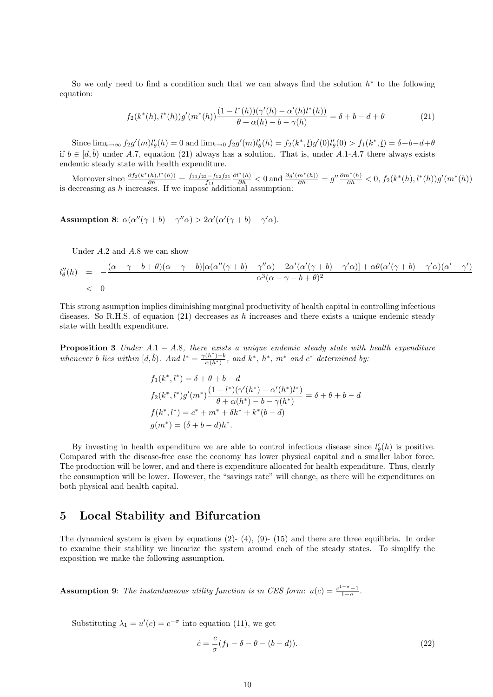So we only need to find a condition such that we can always find the solution  $h^*$  to the following equation:

$$
f_2(k^*(h), l^*(h))g'(m^*(h))\frac{(1 - l^*(h))(\gamma'(h) - \alpha'(h)l^*(h))}{\theta + \alpha(h) - b - \gamma(h)} = \delta + b - d + \theta
$$
 (21)

Since  $\lim_{h\to\infty} f_2g'(m)l'_{\theta}(h) = 0$  and  $\lim_{h\to 0} f_2g'(m)l'_{\theta}(h) = f_2(k^*, l)g'(0)l'_{\theta}(0) > f_1(k^*, l) = \delta + b - d + \theta$ if  $b \in [d, \hat{b})$  under A.7, equation (21) always has a solution. That is, under A.1-A.7 there always exists endemic steady state with health expenditure.

Moreover since  $\frac{\partial f_2(k^*(h),l^*(h))}{\partial h} = \frac{f_{11}f_{22}-f_{12}f_{21}}{f_{11}}$  $\frac{\partial l^*(h)}{\partial h}$  < 0 and  $\frac{\partial g'(m^*(h))}{\partial h} = g'' \frac{\partial m^*(h)}{\partial h}$  < 0,  $f_2(k^*(h), l^*(h))g'(m^*(h))$ is decreasing as  $h$  increases. If we impose additional assumption:

Assumption 8:  $\alpha(\alpha''(\gamma + b) - \gamma''\alpha) > 2\alpha'(\alpha'(\gamma + b) - \gamma'\alpha)$ .

Under A.2 and A.8 we can show

$$
l''_{\theta}(h) = -\frac{(\alpha - \gamma - b + \theta)(\alpha - \gamma - b)[\alpha(\alpha''(\gamma + b) - \gamma''\alpha) - 2\alpha'(\alpha'(\gamma + b) - \gamma'\alpha)] + \alpha\theta(\alpha'(\gamma + b) - \gamma'\alpha)(\alpha' - \gamma')}{\alpha^3(\alpha - \gamma - b + \theta)^2}
$$
  
< 0

This strong asumption implies diminishing marginal productivity of health capital in controlling infectious diseases. So R.H.S. of equation  $(21)$  decreases as h increases and there exists a unique endemic steady state with health expenditure.

**Proposition 3** Under  $A.1 - A.8$ , there exists a unique endemic steady state with health expenditure whenever b lies within  $[d, \hat{b})$ . And  $l^* = \frac{\gamma(h^*) + b}{\alpha(h^*)}$ , and  $k^*$ ,  $h^*$ ,  $m^*$  and  $c^*$  determined by:

$$
f_1(k^*, l^*) = \delta + \theta + b - d
$$
  
\n
$$
f_2(k^*, l^*)g'(m^*)\frac{(1 - l^*)(\gamma'(h^*) - \alpha'(h^*)l^*)}{\theta + \alpha(h^*) - b - \gamma(h^*)} = \delta + \theta + b - d
$$
  
\n
$$
f(k^*, l^*) = c^* + m^* + \delta k^* + k^*(b - d)
$$
  
\n
$$
g(m^*) = (\delta + b - d)h^*.
$$

By investing in health expenditure we are able to control infectious disease since  $l'_{\theta}(h)$  is positive. Compared with the disease-free case the economy has lower physical capital and a smaller labor force. The production will be lower, and and there is expenditure allocated for health expenditure. Thus, clearly the consumption will be lower. However, the "savings rate" will change, as there will be expenditures on both physical and health capital.

## 5 Local Stability and Bifurcation

The dynamical system is given by equations  $(2)-(4)$ ,  $(9)-(15)$  and there are three equilibria. In order to examine their stability we linearize the system around each of the steady states. To simplify the exposition we make the following assumption.

**Assumption 9:** The instantaneous utility function is in CES form:  $u(c) = \frac{c^{1-\sigma}-1}{1-\sigma}$ .

Substituting  $\lambda_1 = u'(c) = c^{-\sigma}$  into equation (11), we get

$$
\dot{c} = \frac{c}{\sigma}(f_1 - \delta - \theta - (b - d)).\tag{22}
$$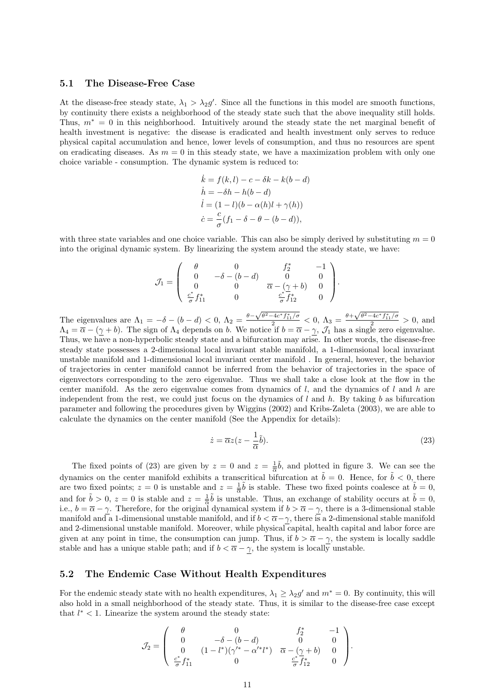#### 5.1 The Disease-Free Case

At the disease-free steady state,  $\lambda_1 > \lambda_2 g'$ . Since all the functions in this model are smooth functions, by continuity there exists a neighborhood of the steady state such that the above inequality still holds. Thus,  $m^* = 0$  in this neighborhood. Intuitively around the steady state the net marginal benefit of health investment is negative: the disease is eradicated and health investment only serves to reduce physical capital accumulation and hence, lower levels of consumption, and thus no resources are spent on eradicating diseases. As  $m = 0$  in this steady state, we have a maximization problem with only one choice variable - consumption. The dynamic system is reduced to:

$$
\begin{aligned}\n\dot{k} &= f(k, l) - c - \delta k - k(b - d) \\
\dot{h} &= -\delta h - h(b - d) \\
\dot{l} &= (1 - l)(b - \alpha(h)l + \gamma(h)) \\
\dot{c} &= \frac{c}{\sigma}(f_1 - \delta - \theta - (b - d)),\n\end{aligned}
$$

with three state variables and one choice variable. This can also be simply derived by substituting  $m = 0$ into the original dynamic system. By linearizing the system around the steady state, we have:

$$
\mathcal{J}_1 = \begin{pmatrix} \theta & 0 & f_2^* & -1 \\ 0 & -\delta - (b - d) & 0 & 0 \\ 0 & 0 & \overline{\alpha} - (\underline{\gamma} + b) & 0 \\ \frac{c^*}{\sigma} f_{11}^* & 0 & \frac{c^*}{\sigma} f_{12}^* & 0 \end{pmatrix}.
$$

The eigenvalues are  $\Lambda_1 = -\delta - (b - d) < 0$ ,  $\Lambda_2 = \frac{\theta - \sqrt{\theta^2 - 4c^* f_{11}^*/\sigma}}{2} < 0$ ,  $\Lambda_3 = \frac{\theta + \sqrt{\theta^2 - 4c^* f_{11}^*/\sigma}}{2} > 0$ , and  $\Lambda_4 = \overline{\alpha} - (\gamma + b)$ . The sign of  $\Lambda_4$  depends on b. We notice if  $b = \overline{\alpha} - \gamma$ ,  $\mathcal{J}_1$  has a single zero eigenvalue. Thus, we have a non-hyperbolic steady state and a bifurcation may arise. In other words, the disease-free steady state possesses a 2-dimensional local invariant stable manifold, a 1-dimensional local invariant unstable manifold and 1-dimensional local invariant center manifold . In general, however, the behavior of trajectories in center manifold cannot be inferred from the behavior of trajectories in the space of eigenvectors corresponding to the zero eigenvalue. Thus we shall take a close look at the flow in the center manifold. As the zero eigenvalue comes from dynamics of  $l$ , and the dynamics of  $l$  and  $h$  are independent from the rest, we could just focus on the dynamics of l and h. By taking b as bifurcation parameter and following the procedures given by Wiggins (2002) and Kribs-Zaleta (2003), we are able to calculate the dynamics on the center manifold (See the Appendix for details):

$$
\dot{z} = \overline{\alpha}z(z - \frac{1}{\overline{\alpha}}\tilde{b}).\tag{23}
$$

The fixed points of (23) are given by  $z = 0$  and  $z = \frac{1}{\alpha}\tilde{b}$ , and plotted in figure 3. We can see the dynamics on the center manifold exhibits a transcritical bifurcation at  $\tilde{b} = 0$ . Hence, for  $\tilde{b} < 0$ , there are two fixed points;  $z = 0$  is unstable and  $z = \frac{1}{\alpha}\tilde{b}$  is stable. These two fixed points coalesce at  $\tilde{b} = 0$ , and for  $\tilde{b} > 0$ ,  $z = 0$  is stable and  $z = \frac{1}{\alpha}\tilde{b}$  is unstable. Thus, an exchange of stability occurs at  $\tilde{b} = 0$ , i.e.,  $b = \overline{\alpha} - \gamma$ . Therefore, for the original dynamical system if  $b > \overline{\alpha} - \gamma$ , there is a 3-dimensional stable manifold and a 1-dimensional unstable manifold, and if  $b < \overline{\alpha} - \gamma$ , there is a 2-dimensional stable manifold and 2-dimensional unstable manifold. Moreover, while physical capital, health capital and labor force are given at any point in time, the consumption can jump. Thus, if  $b > \overline{\alpha} - \gamma$ , the system is locally saddle stable and has a unique stable path; and if  $b < \overline{\alpha} - \gamma$ , the system is locally unstable.

#### 5.2 The Endemic Case Without Health Expenditures

For the endemic steady state with no health expenditures,  $\lambda_1 \geq \lambda_2 g'$  and  $m^* = 0$ . By continuity, this will also hold in a small neighborhood of the steady state. Thus, it is similar to the disease-free case except that  $l^* < 1$ . Linearize the system around the steady state:

$$
\mathcal{J}_2 = \begin{pmatrix} \theta & 0 & f_2^* & -1 \\ 0 & -\delta - (b - d) & 0 & 0 \\ 0 & (1 - l^*) (\gamma'^* - \alpha'^* l^*) & \overline{\alpha} - (\gamma + b) & 0 \\ \frac{c^*}{\sigma} f_{11}^* & 0 & \frac{c^*}{\sigma} \overline{f}_{12}^* & 0 \end{pmatrix}.
$$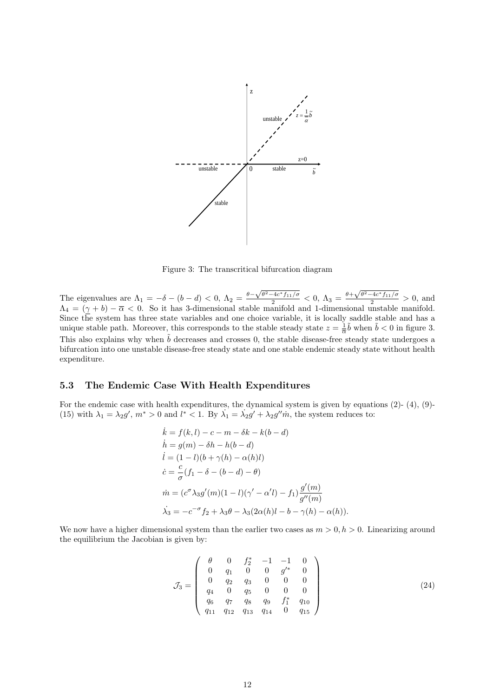

Figure 3: The transcritical bifurcation diagram

The eigenvalues are  $\Lambda_1 = -\delta - (b-d) < 0$ ,  $\Lambda_2 = \frac{\theta - \sqrt{\theta^2 - 4c^* f_{11}/\sigma}}{2} < 0$ ,  $\Lambda_3 = \frac{\theta + \sqrt{\theta^2 - 4c^* f_{11}/\sigma}}{2} > 0$ , and  $\Lambda_4 = (\gamma + b) - \overline{\alpha} < 0$ . So it has 3-dimensional stable manifold and 1-dimensional unstable manifold. Since the system has three state variables and one choice variable, it is locally saddle stable and has a unique stable path. Moreover, this corresponds to the stable steady state  $z = \frac{1}{\overline{\alpha}}\tilde{b}$  when  $\tilde{b} < 0$  in figure 3. This also explains why when  $\tilde{b}$  decreases and crosses 0, the stable disease-free steady state undergoes a bifurcation into one unstable disease-free steady state and one stable endemic steady state without health expenditure.

#### 5.3 The Endemic Case With Health Expenditures

For the endemic case with health expenditures, the dynamical system is given by equations (2)- (4), (9)- (15) with  $\lambda_1 = \lambda_2 g'$ ,  $m^* > 0$  and  $l^* < 1$ . By  $\lambda_1 = \lambda_2 g' + \lambda_2 g'' m$ , the system reduces to:

$$
\begin{aligned}\n\dot{k} &= f(k, l) - c - m - \delta k - k(b - d) \\
\dot{h} &= g(m) - \delta h - h(b - d) \\
\dot{l} &= (1 - l)(b + \gamma(h) - \alpha(h)l) \\
\dot{c} &= \frac{c}{\sigma}(f_1 - \delta - (b - d) - \theta) \\
\dot{m} &= (c^{\sigma} \lambda_3 g'(m)(1 - l)(\gamma' - \alpha' l) - f_1) \frac{g'(m)}{g''(m)} \\
\dot{\lambda}_3 &= -c^{-\sigma} f_2 + \lambda_3 \theta - \lambda_3 (2\alpha(h)l - b - \gamma(h) - \alpha(h)).\n\end{aligned}
$$

We now have a higher dimensional system than the earlier two cases as  $m > 0, h > 0$ . Linearizing around the equilibrium the Jacobian is given by:

$$
\mathcal{J}_3 = \left(\begin{array}{cccccc}\n\theta & 0 & f_2^* & -1 & -1 & 0 \\
0 & q_1 & 0 & 0 & g'^* & 0 \\
0 & q_2 & q_3 & 0 & 0 & 0 \\
q_4 & 0 & q_5 & 0 & 0 & 0 \\
q_6 & q_7 & q_8 & q_9 & f_1^* & q_{10} \\
q_{11} & q_{12} & q_{13} & q_{14} & 0 & q_{15}\n\end{array}\right) \tag{24}
$$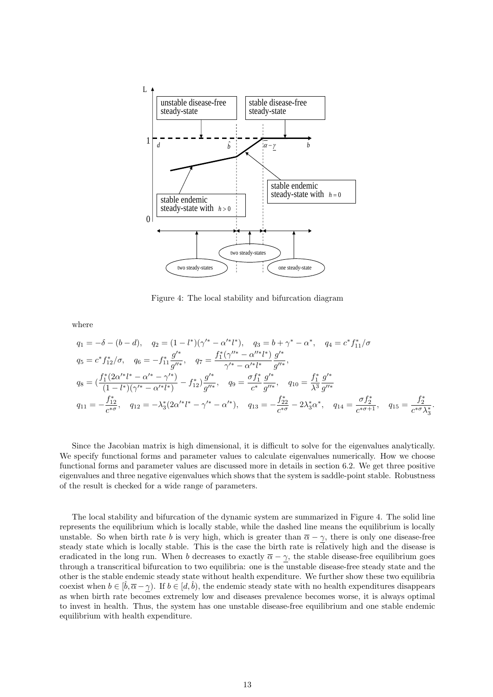

Figure 4: The local stability and bifurcation diagram

where

$$
q_{1} = -\delta - (b - d), \quad q_{2} = (1 - l^{*})(\gamma'^{*} - \alpha'^{*}l^{*}), \quad q_{3} = b + \gamma^{*} - \alpha^{*}, \quad q_{4} = c^{*}f_{11}^{*}/\sigma
$$
  
\n
$$
q_{5} = c^{*}f_{12}^{*}/\sigma, \quad q_{6} = -f_{11}^{*}\frac{g'^{*}}{g''^{*}}, \quad q_{7} = \frac{f_{1}^{*}(\gamma''^{*} - \alpha''^{*}l^{*})}{\gamma'^{*} - \alpha'^{*}l^{*}}\frac{g'^{*}}{g''^{*}},
$$
  
\n
$$
q_{8} = \left(\frac{f_{1}^{*}(2\alpha'^{*}l^{*} - \alpha'^{*} - \gamma'^{*})}{(1 - l^{*})(\gamma'^{*} - \alpha'^{*}l^{*})} - f_{12}^{*}\right)\frac{g'^{*}}{g''^{*}}, \quad q_{9} = \frac{\sigma f_{1}^{*}}{c^{*}}\frac{g'^{*}}{g''^{*}}, \quad q_{10} = \frac{f_{1}^{*}}{\lambda^{3}}\frac{g'^{*}}{g''^{*}}
$$
  
\n
$$
q_{11} = -\frac{f_{12}^{*}}{c^{*}\sigma}, \quad q_{12} = -\lambda_{3}^{*}(2\alpha'^{*}l^{*} - \gamma'^{*} - \alpha'^{*}), \quad q_{13} = -\frac{f_{22}^{*}}{c^{*}\sigma} - 2\lambda_{3}^{*}\alpha^{*}, \quad q_{14} = \frac{\sigma f_{2}^{*}}{c^{*}\sigma + 1}, \quad q_{15} = \frac{f_{2}^{*}}{c^{*}\sigma\lambda_{3}^{*}}.
$$

Since the Jacobian matrix is high dimensional, it is difficult to solve for the eigenvalues analytically. We specify functional forms and parameter values to calculate eigenvalues numerically. How we choose functional forms and parameter values are discussed more in details in section 6.2. We get three positive eigenvalues and three negative eigenvalues which shows that the system is saddle-point stable. Robustness of the result is checked for a wide range of parameters.

The local stability and bifurcation of the dynamic system are summarized in Figure 4. The solid line represents the equilibrium which is locally stable, while the dashed line means the equilibrium is locally unstable. So when birth rate b is very high, which is greater than  $\bar{\alpha} - \gamma$ , there is only one disease-free steady state which is locally stable. This is the case the birth rate is relatively high and the disease is eradicated in the long run. When b decreases to exactly  $\overline{\alpha} - \gamma$ , the stable disease-free equilibrium goes through a transcritical bifurcation to two equilibria: one is the unstable disease-free steady state and the other is the stable endemic steady state without health expenditure. We further show these two equilibria coexist when  $b \in [\hat{b}, \overline{\alpha} - \gamma)$ . If  $b \in [d, \hat{b})$ , the endemic steady state with no health expenditures disappears as when birth rate becomes extremely low and diseases prevalence becomes worse, it is always optimal to invest in health. Thus, the system has one unstable disease-free equilibrium and one stable endemic equilibrium with health expenditure.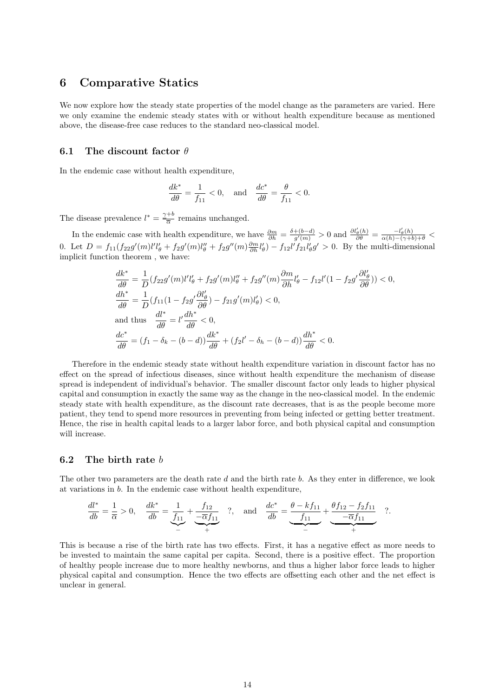### 6 Comparative Statics

We now explore how the steady state properties of the model change as the parameters are varied. Here we only examine the endemic steady states with or without health expenditure because as mentioned above, the disease-free case reduces to the standard neo-classical model.

#### 6.1 The discount factor  $\theta$

In the endemic case without health expenditure,

$$
\frac{dk^*}{d\theta} = \frac{1}{f_{11}} < 0, \quad \text{and} \quad \frac{dc^*}{d\theta} = \frac{\theta}{f_{11}} < 0.
$$

The disease prevalence  $l^* = \frac{\gamma+b}{\overline{\alpha}}$  $rac{1}{\overline{\alpha}}$  remains unchanged.

In the endemic case with health expenditure, we have  $\frac{\partial m}{\partial h} = \frac{\delta + (b-d)}{g'(m)}$  $\frac{+(b-d)}{g'(m)} > 0$  and  $\frac{\partial l'_{\theta}(h)}{\partial \theta} = \frac{-l'_{\theta}(h)}{\alpha(h) - (\gamma + b) + \theta}$ 0. Let  $D = f_{11}(f_{22}g'(m)l'l'_{\theta} + f_{2}g'(m)l''_{\theta} + f_{2}g''(m)\frac{\partial m}{\partial h}l'_{\theta}) - f_{12}l'f_{21}l'_{\theta}g' > 0$ . By the multi-dimensional implicit function theorem , we have:

$$
\frac{dk^*}{d\theta} = \frac{1}{D} (f_{22}g'(m)l'l'_{\theta} + f_{2}g'(m)l''_{\theta} + f_{2}g''(m)\frac{\partial m}{\partial h}l'_{\theta} - f_{12}l'(1 - f_{2}g'\frac{\partial l'_{\theta}}{\partial \theta})) < 0,
$$
  
\n
$$
\frac{dh^*}{d\theta} = \frac{1}{D} (f_{11}(1 - f_{2}g'\frac{\partial l'_{\theta}}{\partial \theta}) - f_{21}g'(m)l'_{\theta}) < 0,
$$
  
\nand thus 
$$
\frac{dl^*}{d\theta} = l'\frac{dh^*}{d\theta} < 0,
$$
  
\n
$$
\frac{dc^*}{d\theta} = (f_1 - \delta_k - (b - d))\frac{dk^*}{d\theta} + (f_2l' - \delta_h - (b - d))\frac{dh^*}{d\theta} < 0.
$$

Therefore in the endemic steady state without health expenditure variation in discount factor has no effect on the spread of infectious diseases, since without health expenditure the mechanism of disease spread is independent of individual's behavior. The smaller discount factor only leads to higher physical capital and consumption in exactly the same way as the change in the neo-classical model. In the endemic steady state with health expenditure, as the discount rate decreases, that is as the people become more patient, they tend to spend more resources in preventing from being infected or getting better treatment. Hence, the rise in health capital leads to a larger labor force, and both physical capital and consumption will increase.

#### 6.2 The birth rate b

The other two parameters are the death rate d and the birth rate  $b$ . As they enter in difference, we look at variations in b. In the endemic case without health expenditure,

$$
\frac{dl^*}{db} = \frac{1}{\overline{\alpha}} > 0, \quad \frac{dk^*}{db} = \underbrace{\frac{1}{f_{11}}}_{-} + \underbrace{\frac{f_{12}}{-\overline{\alpha}f_{11}}}_{+} \quad \text{?}, \quad \text{and} \quad \frac{dc^*}{db} = \underbrace{\frac{\theta - kf_{11}}{f_{11}}}_{-} + \underbrace{\frac{\theta f_{12} - f_2 f_{11}}{-\overline{\alpha}f_{11}}}_{+} \quad \text{?}.
$$

This is because a rise of the birth rate has two effects. First, it has a negative effect as more needs to be invested to maintain the same capital per capita. Second, there is a positive effect. The proportion of healthy people increase due to more healthy newborns, and thus a higher labor force leads to higher physical capital and consumption. Hence the two effects are offsetting each other and the net effect is unclear in general.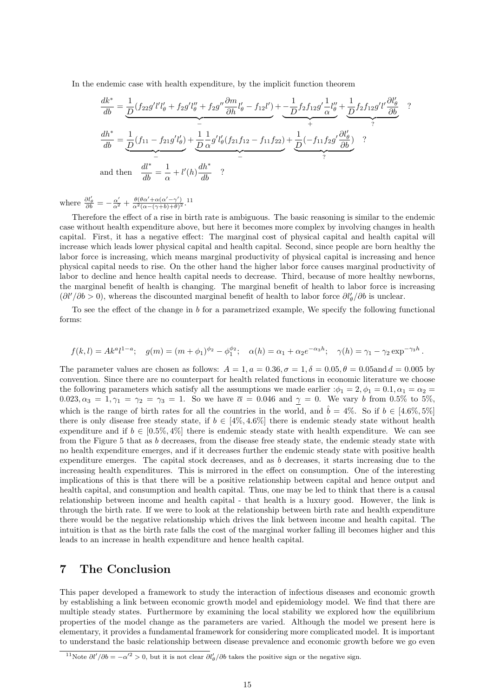In the endemic case with health expenditure, by the implicit function theorem

$$
\frac{dk^*}{db} = \underbrace{\frac{1}{D}(f_{22}g'l'l'_{\theta} + f_{2}g'l''_{\theta} + f_{2}g'' \frac{\partial m}{\partial h}l'_{\theta} - f_{12}l')}_{-} + \underbrace{-\frac{1}{D}f_{2}f_{12}g' \frac{1}{\alpha}l''_{\theta}}_{+} + \underbrace{\frac{1}{D}f_{2}f_{12}g'l' \frac{\partial l'_{\theta}}{\partial b}}_{?},
$$
\n
$$
\frac{dh^*}{db} = \underbrace{\frac{1}{D}(f_{11} - f_{21}g'l'_{\theta})}_{-} + \underbrace{\frac{1}{D}\frac{1}{\alpha}g'l'_{\theta}(f_{21}f_{12} - f_{11}f_{22})}_{-} + \underbrace{\frac{1}{D}(-f_{11}f_{2}g' \frac{\partial l'_{\theta}}{\partial b})}_{?},
$$
\nand then 
$$
\frac{dl^*}{db} = \frac{1}{\alpha} + l'(h)\frac{dh^*}{db}.
$$

where  $\frac{\partial l'_{\theta}}{\partial b} = -\frac{\alpha'}{\alpha^2} + \frac{\theta(\theta\alpha' + \alpha(\alpha' - \gamma'))}{\alpha^2(\alpha - (\gamma + b) + \theta)^2}$ .

Therefore the effect of a rise in birth rate is ambiguous. The basic reasoning is similar to the endemic case without health expenditure above, but here it becomes more complex by involving changes in health capital. First, it has a negative effect: The marginal cost of physical capital and health capital will increase which leads lower physical capital and health capital. Second, since people are born healthy the labor force is increasing, which means marginal productivity of physical capital is increasing and hence physical capital needs to rise. On the other hand the higher labor force causes marginal productivity of labor to decline and hence health capital needs to decrease. Third, because of more healthy newborns, the marginal benefit of health is changing. The marginal benefit of health to labor force is increasing  $(\partial l'/\partial b > 0)$ , whereas the discounted marginal benefit of health to labor force  $\partial l'_{\theta}/\partial b$  is unclear.

To see the effect of the change in  $b$  for a parametrized example, We specify the following functional forms:

$$
f(k,l) = Ak^{a}l^{1-a}; \quad g(m) = (m + \phi_{1})^{\phi_{2}} - \phi_{1}^{\phi_{2}}; \quad \alpha(h) = \alpha_{1} + \alpha_{2}e^{-\alpha_{3}h}; \quad \gamma(h) = \gamma_{1} - \gamma_{2}\exp^{-\gamma_{3}h}.
$$

The parameter values are chosen as follows:  $A = 1, a = 0.36, \sigma = 1, \delta = 0.05, \theta = 0.05$  and  $d = 0.005$  by convention. Since there are no counterpart for health related functions in economic literature we choose the following parameters which satisfy all the assumptions we made earlier  $:\phi_1 = 2, \phi_1 = 0.1, \alpha_1 = \alpha_2 =$ 0.023,  $\alpha_3 = 1, \gamma_1 = \gamma_2 = \gamma_3 = 1$ . So we have  $\overline{\alpha} = 0.046$  and  $\gamma = 0$ . We vary b from 0.5% to 5%, which is the range of birth rates for all the countries in the world, and  $\hat{b} = 4\%$ . So if  $b \in [4.6\%, 5\%]$ there is only disease free steady state, if  $b \in [4\%, 4.6\%]$  there is endemic steady state without health expenditure and if  $b \in [0.5\%, 4\%]$  there is endemic steady state with health expenditure. We can see from the Figure 5 that as b decreases, from the disease free steady state, the endemic steady state with no health expenditure emerges, and if it decreases further the endemic steady state with positive health expenditure emerges. The capital stock decreases, and as b decreases, it starts increasing due to the increasing health expenditures. This is mirrored in the effect on consumption. One of the interesting implications of this is that there will be a positive relationship between capital and hence output and health capital, and consumption and health capital. Thus, one may be led to think that there is a causal relationship between income and health capital - that health is a luxury good. However, the link is through the birth rate. If we were to look at the relationship between birth rate and health expenditure there would be the negative relationship which drives the link between income and health capital. The intuition is that as the birth rate falls the cost of the marginal worker falling ill becomes higher and this leads to an increase in health expenditure and hence health capital.

### 7 The Conclusion

This paper developed a framework to study the interaction of infectious diseases and economic growth by establishing a link between economic growth model and epidemiology model. We find that there are multiple steady states. Furthermore by examining the local stability we explored how the equilibrium properties of the model change as the parameters are varied. Although the model we present here is elementary, it provides a fundamental framework for considering more complicated model. It is important to understand the basic relationship between disease prevalence and economic growth before we go even

<sup>&</sup>lt;sup>11</sup>Note  $\partial l'/\partial b = -\alpha'^2 > 0$ , but it is not clear  $\partial l'_\theta/\partial b$  takes the positive sign or the negative sign.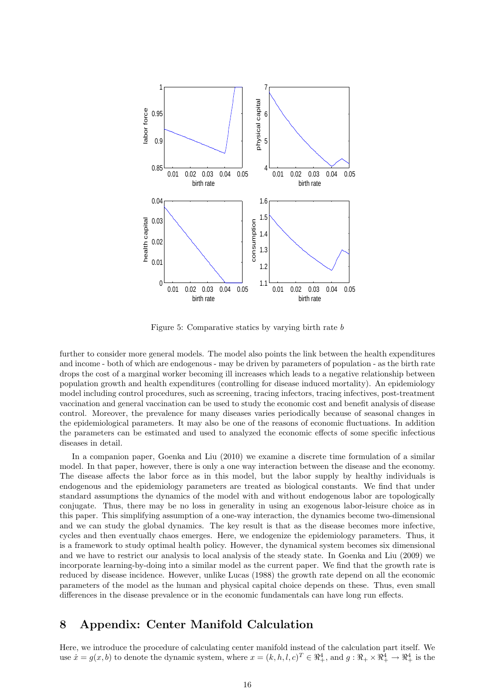

Figure 5: Comparative statics by varying birth rate b

further to consider more general models. The model also points the link between the health expenditures and income - both of which are endogenous - may be driven by parameters of population - as the birth rate drops the cost of a marginal worker becoming ill increases which leads to a negative relationship between population growth and health expenditures (controlling for disease induced mortality). An epidemiology model including control procedures, such as screening, tracing infectors, tracing infectives, post-treatment vaccination and general vaccination can be used to study the economic cost and benefit analysis of disease control. Moreover, the prevalence for many diseases varies periodically because of seasonal changes in the epidemiological parameters. It may also be one of the reasons of economic fluctuations. In addition the parameters can be estimated and used to analyzed the economic effects of some specific infectious diseases in detail.

In a companion paper, Goenka and Liu (2010) we examine a discrete time formulation of a similar model. In that paper, however, there is only a one way interaction between the disease and the economy. The disease affects the labor force as in this model, but the labor supply by healthy individuals is endogenous and the epidemiology parameters are treated as biological constants. We find that under standard assumptions the dynamics of the model with and without endogenous labor are topologically conjugate. Thus, there may be no loss in generality in using an exogenous labor-leisure choice as in this paper. This simplifying assumption of a one-way interaction, the dynamics become two-dimensional and we can study the global dynamics. The key result is that as the disease becomes more infective, cycles and then eventually chaos emerges. Here, we endogenize the epidemiology parameters. Thus, it is a framework to study optimal health policy. However, the dynamical system becomes six dimensional and we have to restrict our analysis to local analysis of the steady state. In Goenka and Liu (2009) we incorporate learning-by-doing into a similar model as the current paper. We find that the growth rate is reduced by disease incidence. However, unlike Lucas (1988) the growth rate depend on all the economic parameters of the model as the human and physical capital choice depends on these. Thus, even small differences in the disease prevalence or in the economic fundamentals can have long run effects.

## 8 Appendix: Center Manifold Calculation

Here, we introduce the procedure of calculating center manifold instead of the calculation part itself. We use  $\dot{x} = g(x, b)$  to denote the dynamic system, where  $x = (k, h, l, c)^T \in \Re^4_+$ , and  $g: \Re_+ \times \Re_+^4 \to \Re_+^4$  is the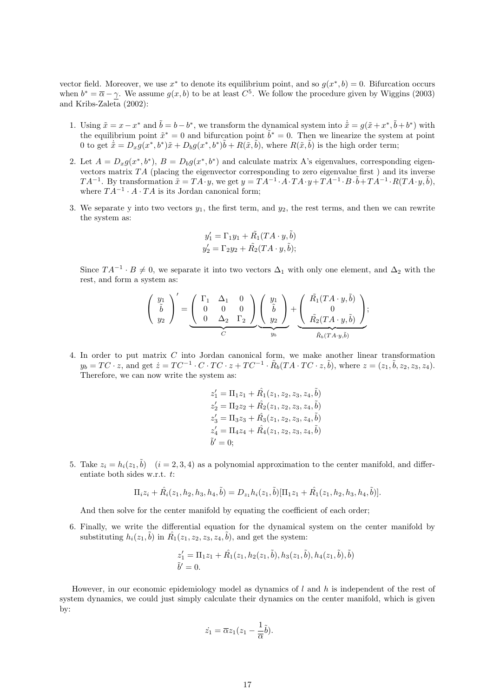vector field. Moreover, we use  $x^*$  to denote its equilibrium point, and so  $g(x^*, b) = 0$ . Bifurcation occurs when  $b^* = \overline{\alpha} - \gamma$ . We assume  $g(x, b)$  to be at least  $C^5$ . We follow the procedure given by Wiggins (2003) and Kribs-Zaleta  $(2002)$ :

- 1. Using  $\tilde{x} = x x^*$  and  $\tilde{b} = b b^*$ , we transform the dynamical system into  $\dot{\tilde{x}} = g(\tilde{x} + x^*, \tilde{b} + b^*)$  with the equilibrium point  $\tilde{x}^* = 0$  and bifurcation point  $\tilde{b}^* = 0$ . Then we linearize the system at point 0 to get  $\dot{\tilde{x}} = D_x g(x^*, b^*) \tilde{x} + D_b g(x^*, b^*) \tilde{b} + R(\tilde{x}, \tilde{b})$ , where  $R(\tilde{x}, \tilde{b})$  is the high order term;
- 2. Let  $A = D_x g(x^*, b^*)$ ,  $B = D_b g(x^*, b^*)$  and calculate matrix A's eigenvalues, corresponding eigenvectors matrix  $TA$  (placing the eigenvector corresponding to zero eigenvalue first) and its inverse  $TA^{-1}$ . By transformation  $\tilde{x} = TA^{-1}y$ , we get  $y = TA^{-1} \cdot A \cdot TA \cdot y + TA^{-1} \cdot B \cdot \tilde{b} + TA^{-1} \cdot R(TA \cdot y, \tilde{b})$ , where  $TA^{-1} \cdot A \cdot TA$  is its Jordan canonical form;
- 3. We separate y into two vectors  $y_1$ , the first term, and  $y_2$ , the rest terms, and then we can rewrite the system as:

$$
y'_1 = \Gamma_1 y_1 + \tilde{R_1} (TA \cdot y, \tilde{b})
$$
  

$$
y'_2 = \Gamma_2 y_2 + \tilde{R_2} (TA \cdot y, \tilde{b});
$$

Since  $TA^{-1} \cdot B \neq 0$ , we separate it into two vectors  $\Delta_1$  with only one element, and  $\Delta_2$  with the rest, and form a system as:

$$
\left(\begin{array}{c}y_1\\ \tilde{b}\\ y_2\end{array}\right)'=\underbrace{\left(\begin{array}{ccc} \Gamma_1 & \Delta_1 & 0\\ 0 & 0 & 0\\ 0 & \Delta_2 & \Gamma_2\end{array}\right)}_{C}\underbrace{\left(\begin{array}{c}y_1\\ \tilde{b}\\ y_2\end{array}\right)}_{y_b}+\underbrace{\left(\begin{array}{c} \tilde{R_1}(TA\cdot y,\tilde{b})\\ 0\\ \tilde{R_2}(TA\cdot y,\tilde{b})\end{array}\right)}_{\tilde{R_b}(TA\cdot y,\tilde{b})};
$$

4. In order to put matrix C into Jordan canonical form, we make another linear transformation  $y_b = TC \cdot z$ , and get  $\dot{z} = TC^{-1} \cdot C \cdot TC \cdot z + TC^{-1} \cdot \tilde{R}_b(TA \cdot TC \cdot z, \tilde{b})$ , where  $z = (z_1, \tilde{b}, z_2, z_3, z_4)$ . Therefore, we can now write the system as:

$$
\begin{aligned} z_1' &= \Pi_1 z_1 + \hat{R_1}(z_1, z_2, z_3, z_4, \tilde{b}) \\ z_2' &= \Pi_2 z_2 + \hat{R_2}(z_1, z_2, z_3, z_4, \tilde{b}) \\ z_3' &= \Pi_3 z_3 + \hat{R_3}(z_1, z_2, z_3, z_4, \tilde{b}) \\ z_4' &= \Pi_4 z_4 + \hat{R_4}(z_1, z_2, z_3, z_4, \tilde{b}) \\ \tilde{b}' &= 0; \end{aligned}
$$

5. Take  $z_i = h_i(z_1, \tilde{b})$   $(i = 2, 3, 4)$  as a polynomial approximation to the center manifold, and differentiate both sides w.r.t. t:

$$
\Pi_i z_i + \hat{R}_i(z_1, h_2, h_3, h_4, \tilde{b}) = D_{z_1} h_i(z_1, \tilde{b}) [\Pi_1 z_1 + \hat{R}_1(z_1, h_2, h_3, h_4, \tilde{b})].
$$

And then solve for the center manifold by equating the coefficient of each order;

6. Finally, we write the differential equation for the dynamical system on the center manifold by substituting  $h_i(z_1, \tilde{b})$  in  $\hat{R_1}(z_1, z_2, z_3, z_4, \tilde{b})$ , and get the system:

$$
z'_1 = \Pi_1 z_1 + \hat{R_1}(z_1, h_2(z_1, \tilde{b}), h_3(z_1, \tilde{b}), h_4(z_1, \tilde{b}), \tilde{b})
$$
  

$$
\tilde{b}' = 0.
$$

However, in our economic epidemiology model as dynamics of  $l$  and  $h$  is independent of the rest of system dynamics, we could just simply calculate their dynamics on the center manifold, which is given by:

$$
\dot{z_1} = \overline{\alpha} z_1 (z_1 - \frac{1}{\overline{\alpha}} \tilde{b}).
$$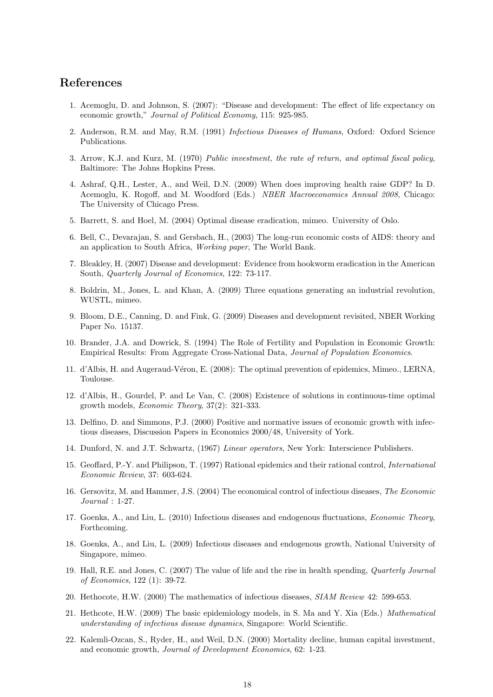## References

- 1. Acemoglu, D. and Johnson, S. (2007): "Disease and development: The effect of life expectancy on economic growth," Journal of Political Economy, 115: 925-985.
- 2. Anderson, R.M. and May, R.M. (1991) Infectious Diseases of Humans, Oxford: Oxford Science Publications.
- 3. Arrow, K.J. and Kurz, M. (1970) Public investment, the rate of return, and optimal fiscal policy, Baltimore: The Johns Hopkins Press.
- 4. Ashraf, Q.H., Lester, A., and Weil, D.N. (2009) When does improving health raise GDP? In D. Acemoglu, K. Rogoff, and M. Woodford (Eds.) NBER Macroeconomics Annual 2008, Chicago: The University of Chicago Press.
- 5. Barrett, S. and Hoel, M. (2004) Optimal disease eradication, mimeo. University of Oslo.
- 6. Bell, C., Devarajan, S. and Gersbach, H., (2003) The long-run economic costs of AIDS: theory and an application to South Africa, Working paper, The World Bank.
- 7. Bleakley, H. (2007) Disease and development: Evidence from hookworm eradication in the American South, Quarterly Journal of Economics, 122: 73-117.
- 8. Boldrin, M., Jones, L. and Khan, A. (2009) Three equations generating an industrial revolution, WUSTL, mimeo.
- 9. Bloom, D.E., Canning, D. and Fink, G. (2009) Diseases and development revisited, NBER Working Paper No. 15137.
- 10. Brander, J.A. and Dowrick, S. (1994) The Role of Fertility and Population in Economic Growth: Empirical Results: From Aggregate Cross-National Data, Journal of Population Economics.
- 11. d'Albis, H. and Augeraud-Véron, E. (2008): The optimal prevention of epidemics, Mimeo., LERNA, Toulouse.
- 12. d'Albis, H., Gourdel, P. and Le Van, C. (2008) Existence of solutions in continuous-time optimal growth models, Economic Theory, 37(2): 321-333.
- 13. Delfino, D. and Simmons, P.J. (2000) Positive and normative issues of economic growth with infectious diseases, Discussion Papers in Economics 2000/48, University of York.
- 14. Dunford, N. and J.T. Schwartz, (1967) Linear operators, New York: Interscience Publishers.
- 15. Geoffard, P.-Y. and Philipson, T. (1997) Rational epidemics and their rational control, International Economic Review, 37: 603-624.
- 16. Gersovitz, M. and Hammer, J.S. (2004) The economical control of infectious diseases, The Economic Journal : 1-27.
- 17. Goenka, A., and Liu, L. (2010) Infectious diseases and endogenous fluctuations, Economic Theory, Forthcoming.
- 18. Goenka, A., and Liu, L. (2009) Infectious diseases and endogenous growth, National University of Singapore, mimeo.
- 19. Hall, R.E. and Jones, C. (2007) The value of life and the rise in health spending, Quarterly Journal of Economics, 122 (1): 39-72.
- 20. Hethocote, H.W. (2000) The mathematics of infectious diseases, SIAM Review 42: 599-653.
- 21. Hethcote, H.W. (2009) The basic epidemiology models, in S. Ma and Y. Xia (Eds.) Mathematical understanding of infectious disease dynamics, Singapore: World Scientific.
- 22. Kalemli-Ozcan, S., Ryder, H., and Weil, D.N. (2000) Mortality decline, human capital investment, and economic growth, Journal of Development Economics, 62: 1-23.